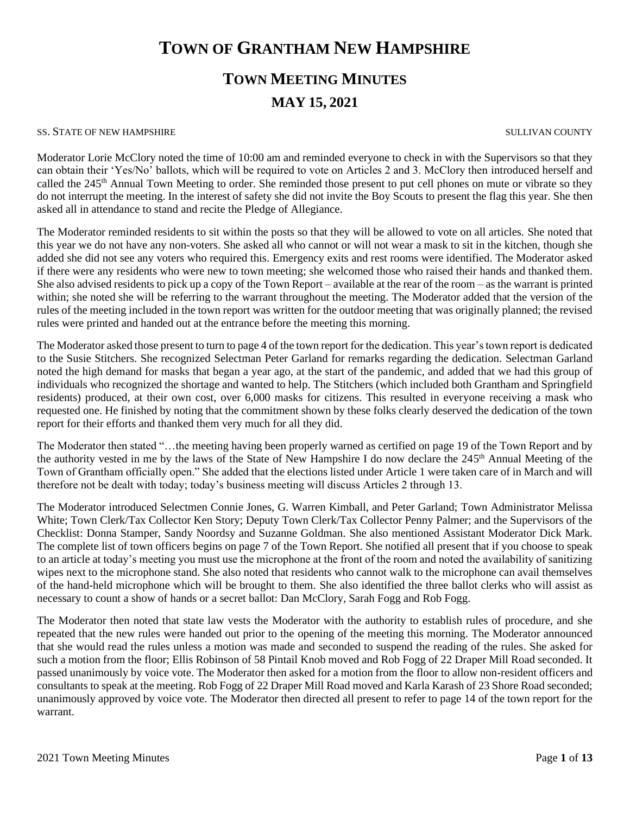# **TOWN OF GRANTHAM NEW HAMPSHIRE**

# **TOWN MEETING MINUTES MAY 15, 2021**

#### SS. STATE OF NEW HAMPSHIRE SULLIVAN COUNTY

Moderator Lorie McClory noted the time of 10:00 am and reminded everyone to check in with the Supervisors so that they can obtain their 'Yes/No' ballots, which will be required to vote on Articles 2 and 3. McClory then introduced herself and called the 245<sup>th</sup> Annual Town Meeting to order. She reminded those present to put cell phones on mute or vibrate so they do not interrupt the meeting. In the interest of safety she did not invite the Boy Scouts to present the flag this year. She then asked all in attendance to stand and recite the Pledge of Allegiance.

The Moderator reminded residents to sit within the posts so that they will be allowed to vote on all articles. She noted that this year we do not have any non-voters. She asked all who cannot or will not wear a mask to sit in the kitchen, though she added she did not see any voters who required this. Emergency exits and rest rooms were identified. The Moderator asked if there were any residents who were new to town meeting; she welcomed those who raised their hands and thanked them. She also advised residents to pick up a copy of the Town Report – available at the rear of the room – as the warrant is printed within; she noted she will be referring to the warrant throughout the meeting. The Moderator added that the version of the rules of the meeting included in the town report was written for the outdoor meeting that was originally planned; the revised rules were printed and handed out at the entrance before the meeting this morning.

The Moderator asked those present to turn to page 4 of the town report for the dedication. This year's town report is dedicated to the Susie Stitchers. She recognized Selectman Peter Garland for remarks regarding the dedication. Selectman Garland noted the high demand for masks that began a year ago, at the start of the pandemic, and added that we had this group of individuals who recognized the shortage and wanted to help. The Stitchers (which included both Grantham and Springfield residents) produced, at their own cost, over 6,000 masks for citizens. This resulted in everyone receiving a mask who requested one. He finished by noting that the commitment shown by these folks clearly deserved the dedication of the town report for their efforts and thanked them very much for all they did.

The Moderator then stated "…the meeting having been properly warned as certified on page 19 of the Town Report and by the authority vested in me by the laws of the State of New Hampshire I do now declare the 245<sup>th</sup> Annual Meeting of the Town of Grantham officially open." She added that the elections listed under Article 1 were taken care of in March and will therefore not be dealt with today; today's business meeting will discuss Articles 2 through 13.

The Moderator introduced Selectmen Connie Jones, G. Warren Kimball, and Peter Garland; Town Administrator Melissa White; Town Clerk/Tax Collector Ken Story; Deputy Town Clerk/Tax Collector Penny Palmer; and the Supervisors of the Checklist: Donna Stamper, Sandy Noordsy and Suzanne Goldman. She also mentioned Assistant Moderator Dick Mark. The complete list of town officers begins on page 7 of the Town Report. She notified all present that if you choose to speak to an article at today's meeting you must use the microphone at the front of the room and noted the availability of sanitizing wipes next to the microphone stand. She also noted that residents who cannot walk to the microphone can avail themselves of the hand-held microphone which will be brought to them. She also identified the three ballot clerks who will assist as necessary to count a show of hands or a secret ballot: Dan McClory, Sarah Fogg and Rob Fogg.

The Moderator then noted that state law vests the Moderator with the authority to establish rules of procedure, and she repeated that the new rules were handed out prior to the opening of the meeting this morning. The Moderator announced that she would read the rules unless a motion was made and seconded to suspend the reading of the rules. She asked for such a motion from the floor; Ellis Robinson of 58 Pintail Knob moved and Rob Fogg of 22 Draper Mill Road seconded. It passed unanimously by voice vote. The Moderator then asked for a motion from the floor to allow non-resident officers and consultants to speak at the meeting. Rob Fogg of 22 Draper Mill Road moved and Karla Karash of 23 Shore Road seconded; unanimously approved by voice vote. The Moderator then directed all present to refer to page 14 of the town report for the warrant.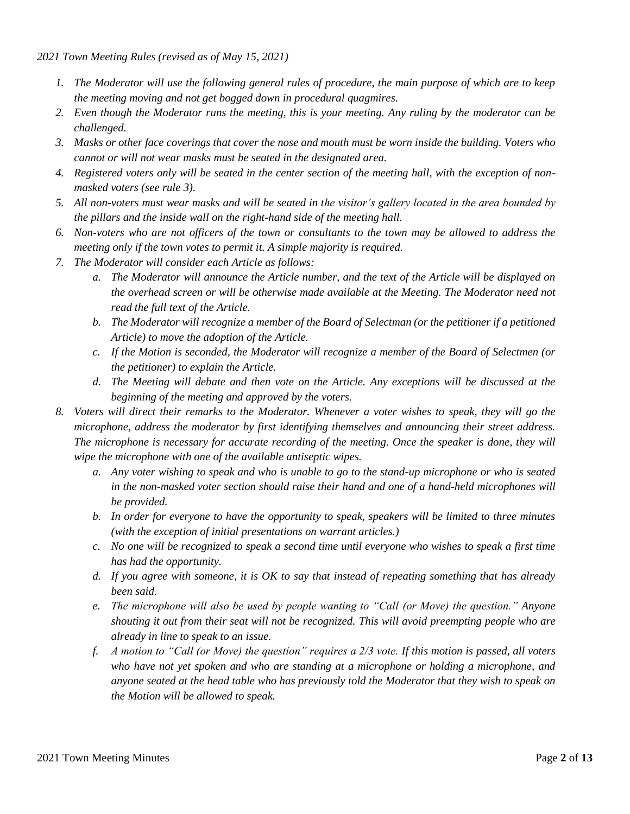*2021 Town Meeting Rules (revised as of May 15, 2021)*

- *1. The Moderator will use the following general rules of procedure, the main purpose of which are to keep the meeting moving and not get bogged down in procedural quagmires.*
- *2. Even though the Moderator runs the meeting, this is your meeting. Any ruling by the moderator can be challenged.*
- *3. Masks or other face coverings that cover the nose and mouth must be worn inside the building. Voters who cannot or will not wear masks must be seated in the designated area.*
- *4. Registered voters only will be seated in the center section of the meeting hall, with the exception of nonmasked voters (see rule 3).*
- *5. All non-voters must wear masks and will be seated in the visitor's gallery located in the area bounded by the pillars and the inside wall on the right-hand side of the meeting hall.*
- *6. Non-voters who are not officers of the town or consultants to the town may be allowed to address the meeting only if the town votes to permit it. A simple majority is required.*
- *7. The Moderator will consider each Article as follows:*
	- *a. The Moderator will announce the Article number, and the text of the Article will be displayed on the overhead screen or will be otherwise made available at the Meeting. The Moderator need not read the full text of the Article.*
	- *b. The Moderator will recognize a member of the Board of Selectman (or the petitioner if a petitioned Article) to move the adoption of the Article.*
	- *c. If the Motion is seconded, the Moderator will recognize a member of the Board of Selectmen (or the petitioner) to explain the Article.*
	- *d. The Meeting will debate and then vote on the Article. Any exceptions will be discussed at the beginning of the meeting and approved by the voters.*
- *8. Voters will direct their remarks to the Moderator. Whenever a voter wishes to speak, they will go the microphone, address the moderator by first identifying themselves and announcing their street address. The microphone is necessary for accurate recording of the meeting. Once the speaker is done, they will wipe the microphone with one of the available antiseptic wipes.*
	- *a. Any voter wishing to speak and who is unable to go to the stand-up microphone or who is seated in the non-masked voter section should raise their hand and one of a hand-held microphones will be provided.*
	- *b. In order for everyone to have the opportunity to speak, speakers will be limited to three minutes (with the exception of initial presentations on warrant articles.)*
	- *c. No one will be recognized to speak a second time until everyone who wishes to speak a first time has had the opportunity.*
	- *d. If you agree with someone, it is OK to say that instead of repeating something that has already been said.*
	- *e. The microphone will also be used by people wanting to "Call (or Move) the question." Anyone shouting it out from their seat will not be recognized. This will avoid preempting people who are already in line to speak to an issue.*
	- *f. A motion to "Call (or Move) the question" requires a 2/3 vote. If this motion is passed, all voters who have not yet spoken and who are standing at a microphone or holding a microphone, and anyone seated at the head table who has previously told the Moderator that they wish to speak on the Motion will be allowed to speak.*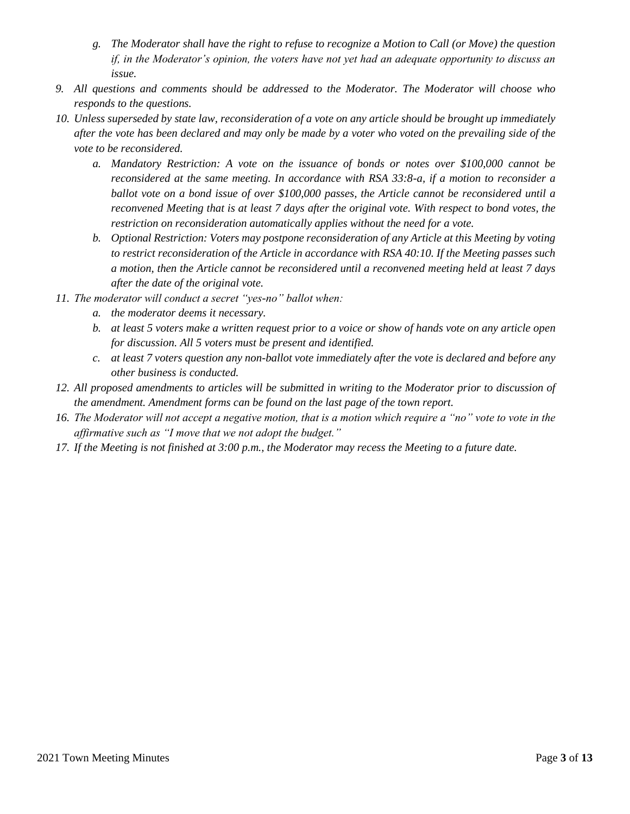- *g. The Moderator shall have the right to refuse to recognize a Motion to Call (or Move) the question if, in the Moderator's opinion, the voters have not yet had an adequate opportunity to discuss an issue.*
- *9. All questions and comments should be addressed to the Moderator. The Moderator will choose who responds to the questions.*
- *10. Unless superseded by state law, reconsideration of a vote on any article should be brought up immediately after the vote has been declared and may only be made by a voter who voted on the prevailing side of the vote to be reconsidered.* 
	- *a. Mandatory Restriction: A vote on the issuance of bonds or notes over \$100,000 cannot be reconsidered at the same meeting. In accordance with RSA 33:8-a, if a motion to reconsider a ballot vote on a bond issue of over \$100,000 passes, the Article cannot be reconsidered until a reconvened Meeting that is at least 7 days after the original vote. With respect to bond votes, the restriction on reconsideration automatically applies without the need for a vote.*
	- *b. Optional Restriction: Voters may postpone reconsideration of any Article at this Meeting by voting to restrict reconsideration of the Article in accordance with RSA 40:10. If the Meeting passes such a motion, then the Article cannot be reconsidered until a reconvened meeting held at least 7 days after the date of the original vote.*
- *11. The moderator will conduct a secret "yes-no" ballot when:*
	- *a. the moderator deems it necessary.*
	- *b. at least 5 voters make a written request prior to a voice or show of hands vote on any article open for discussion. All 5 voters must be present and identified.*
	- *c. at least 7 voters question any non-ballot vote immediately after the vote is declared and before any other business is conducted.*
- *12. All proposed amendments to articles will be submitted in writing to the Moderator prior to discussion of the amendment. Amendment forms can be found on the last page of the town report.*
- *16. The Moderator will not accept a negative motion, that is a motion which require a "no" vote to vote in the affirmative such as "I move that we not adopt the budget."*
- *17. If the Meeting is not finished at 3:00 p.m., the Moderator may recess the Meeting to a future date.*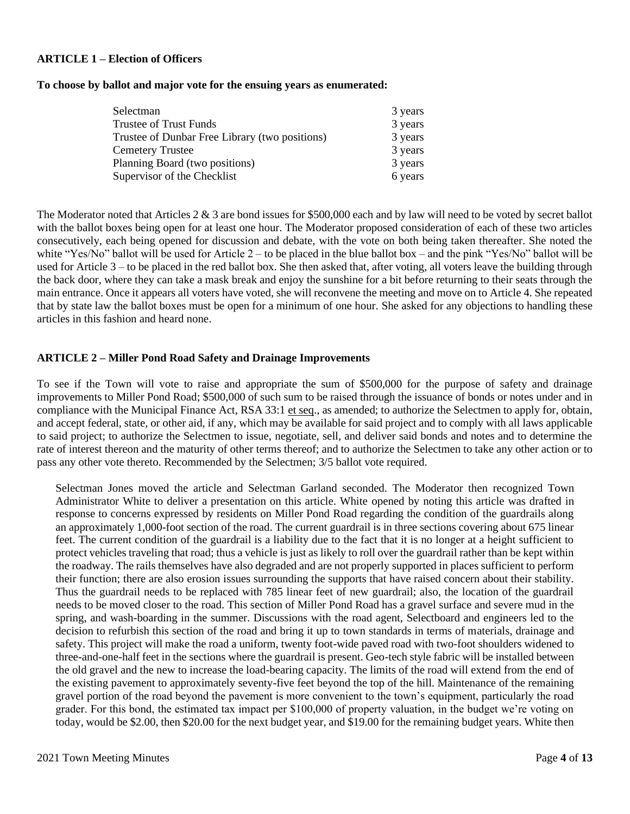#### **ARTICLE 1 – Election of Officers**

#### **To choose by ballot and major vote for the ensuing years as enumerated:**

| Selectman                                      | 3 years |
|------------------------------------------------|---------|
| Trustee of Trust Funds                         | 3 years |
| Trustee of Dunbar Free Library (two positions) | 3 years |
| <b>Cemetery Trustee</b>                        | 3 years |
| Planning Board (two positions)                 | 3 years |
| Supervisor of the Checklist                    | 6 years |

The Moderator noted that Articles 2 & 3 are bond issues for \$500,000 each and by law will need to be voted by secret ballot with the ballot boxes being open for at least one hour. The Moderator proposed consideration of each of these two articles consecutively, each being opened for discussion and debate, with the vote on both being taken thereafter. She noted the white "Yes/No" ballot will be used for Article 2 – to be placed in the blue ballot box – and the pink "Yes/No" ballot will be used for Article 3 – to be placed in the red ballot box. She then asked that, after voting, all voters leave the building through the back door, where they can take a mask break and enjoy the sunshine for a bit before returning to their seats through the main entrance. Once it appears all voters have voted, she will reconvene the meeting and move on to Article 4. She repeated that by state law the ballot boxes must be open for a minimum of one hour. She asked for any objections to handling these articles in this fashion and heard none.

#### **ARTICLE 2 – Miller Pond Road Safety and Drainage Improvements**

To see if the Town will vote to raise and appropriate the sum of \$500,000 for the purpose of safety and drainage improvements to Miller Pond Road; \$500,000 of such sum to be raised through the issuance of bonds or notes under and in compliance with the Municipal Finance Act, RSA 33:1 et seq., as amended; to authorize the Selectmen to apply for, obtain, and accept federal, state, or other aid, if any, which may be available for said project and to comply with all laws applicable to said project; to authorize the Selectmen to issue, negotiate, sell, and deliver said bonds and notes and to determine the rate of interest thereon and the maturity of other terms thereof; and to authorize the Selectmen to take any other action or to pass any other vote thereto. Recommended by the Selectmen; 3/5 ballot vote required.

Selectman Jones moved the article and Selectman Garland seconded. The Moderator then recognized Town Administrator White to deliver a presentation on this article. White opened by noting this article was drafted in response to concerns expressed by residents on Miller Pond Road regarding the condition of the guardrails along an approximately 1,000-foot section of the road. The current guardrail is in three sections covering about 675 linear feet. The current condition of the guardrail is a liability due to the fact that it is no longer at a height sufficient to protect vehicles traveling that road; thus a vehicle is just as likely to roll over the guardrail rather than be kept within the roadway. The rails themselves have also degraded and are not properly supported in places sufficient to perform their function; there are also erosion issues surrounding the supports that have raised concern about their stability. Thus the guardrail needs to be replaced with 785 linear feet of new guardrail; also, the location of the guardrail needs to be moved closer to the road. This section of Miller Pond Road has a gravel surface and severe mud in the spring, and wash-boarding in the summer. Discussions with the road agent, Selectboard and engineers led to the decision to refurbish this section of the road and bring it up to town standards in terms of materials, drainage and safety. This project will make the road a uniform, twenty foot-wide paved road with two-foot shoulders widened to three-and-one-half feet in the sections where the guardrail is present. Geo-tech style fabric will be installed between the old gravel and the new to increase the load-bearing capacity. The limits of the road will extend from the end of the existing pavement to approximately seventy-five feet beyond the top of the hill. Maintenance of the remaining gravel portion of the road beyond the pavement is more convenient to the town's equipment, particularly the road grader. For this bond, the estimated tax impact per \$100,000 of property valuation, in the budget we're voting on today, would be \$2.00, then \$20.00 for the next budget year, and \$19.00 for the remaining budget years. White then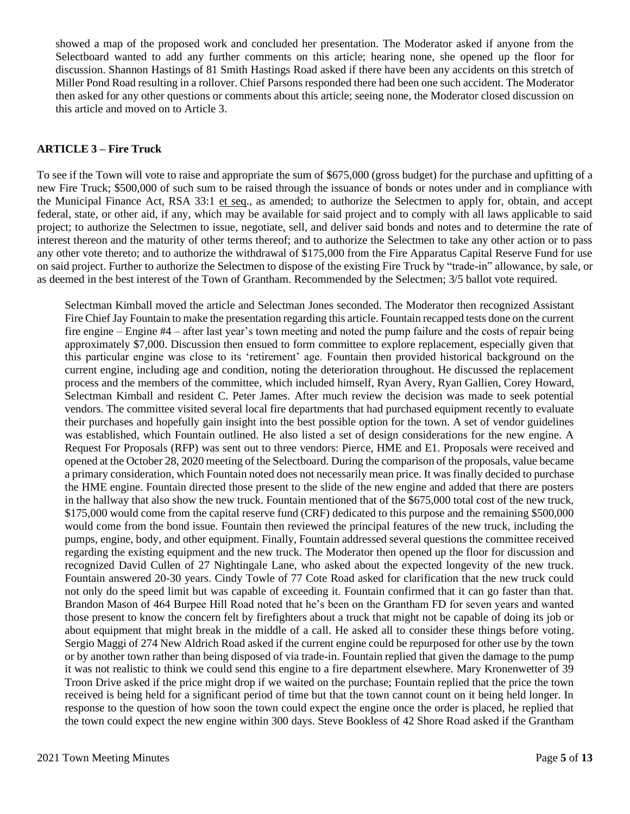showed a map of the proposed work and concluded her presentation. The Moderator asked if anyone from the Selectboard wanted to add any further comments on this article; hearing none, she opened up the floor for discussion. Shannon Hastings of 81 Smith Hastings Road asked if there have been any accidents on this stretch of Miller Pond Road resulting in a rollover. Chief Parsons responded there had been one such accident. The Moderator then asked for any other questions or comments about this article; seeing none, the Moderator closed discussion on this article and moved on to Article 3.

## **ARTICLE 3 – Fire Truck**

To see if the Town will vote to raise and appropriate the sum of \$675,000 (gross budget) for the purchase and upfitting of a new Fire Truck; \$500,000 of such sum to be raised through the issuance of bonds or notes under and in compliance with the Municipal Finance Act, RSA 33:1 et seq., as amended; to authorize the Selectmen to apply for, obtain, and accept federal, state, or other aid, if any, which may be available for said project and to comply with all laws applicable to said project; to authorize the Selectmen to issue, negotiate, sell, and deliver said bonds and notes and to determine the rate of interest thereon and the maturity of other terms thereof; and to authorize the Selectmen to take any other action or to pass any other vote thereto; and to authorize the withdrawal of \$175,000 from the Fire Apparatus Capital Reserve Fund for use on said project. Further to authorize the Selectmen to dispose of the existing Fire Truck by "trade-in" allowance, by sale, or as deemed in the best interest of the Town of Grantham. Recommended by the Selectmen; 3/5 ballot vote required.

Selectman Kimball moved the article and Selectman Jones seconded. The Moderator then recognized Assistant Fire Chief Jay Fountain to make the presentation regarding this article. Fountain recapped tests done on the current fire engine – Engine #4 – after last year's town meeting and noted the pump failure and the costs of repair being approximately \$7,000. Discussion then ensued to form committee to explore replacement, especially given that this particular engine was close to its 'retirement' age. Fountain then provided historical background on the current engine, including age and condition, noting the deterioration throughout. He discussed the replacement process and the members of the committee, which included himself, Ryan Avery, Ryan Gallien, Corey Howard, Selectman Kimball and resident C. Peter James. After much review the decision was made to seek potential vendors. The committee visited several local fire departments that had purchased equipment recently to evaluate their purchases and hopefully gain insight into the best possible option for the town. A set of vendor guidelines was established, which Fountain outlined. He also listed a set of design considerations for the new engine. A Request For Proposals (RFP) was sent out to three vendors: Pierce, HME and E1. Proposals were received and opened at the October 28, 2020 meeting of the Selectboard. During the comparison of the proposals, value became a primary consideration, which Fountain noted does not necessarily mean price. It was finally decided to purchase the HME engine. Fountain directed those present to the slide of the new engine and added that there are posters in the hallway that also show the new truck. Fountain mentioned that of the \$675,000 total cost of the new truck, \$175,000 would come from the capital reserve fund (CRF) dedicated to this purpose and the remaining \$500,000 would come from the bond issue. Fountain then reviewed the principal features of the new truck, including the pumps, engine, body, and other equipment. Finally, Fountain addressed several questions the committee received regarding the existing equipment and the new truck. The Moderator then opened up the floor for discussion and recognized David Cullen of 27 Nightingale Lane, who asked about the expected longevity of the new truck. Fountain answered 20-30 years. Cindy Towle of 77 Cote Road asked for clarification that the new truck could not only do the speed limit but was capable of exceeding it. Fountain confirmed that it can go faster than that. Brandon Mason of 464 Burpee Hill Road noted that he's been on the Grantham FD for seven years and wanted those present to know the concern felt by firefighters about a truck that might not be capable of doing its job or about equipment that might break in the middle of a call. He asked all to consider these things before voting. Sergio Maggi of 274 New Aldrich Road asked if the current engine could be repurposed for other use by the town or by another town rather than being disposed of via trade-in. Fountain replied that given the damage to the pump it was not realistic to think we could send this engine to a fire department elsewhere. Mary Kronenwetter of 39 Troon Drive asked if the price might drop if we waited on the purchase; Fountain replied that the price the town received is being held for a significant period of time but that the town cannot count on it being held longer. In response to the question of how soon the town could expect the engine once the order is placed, he replied that the town could expect the new engine within 300 days. Steve Bookless of 42 Shore Road asked if the Grantham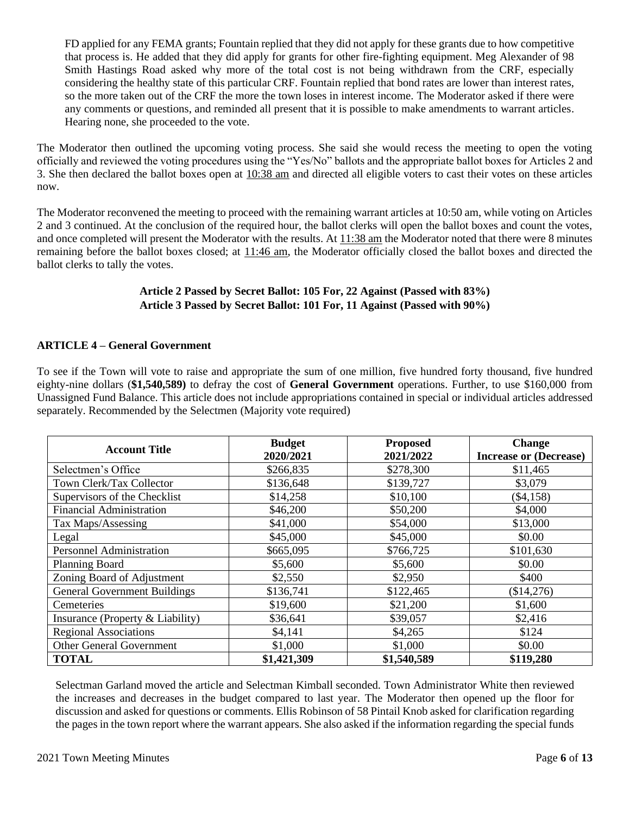FD applied for any FEMA grants; Fountain replied that they did not apply for these grants due to how competitive that process is. He added that they did apply for grants for other fire-fighting equipment. Meg Alexander of 98 Smith Hastings Road asked why more of the total cost is not being withdrawn from the CRF, especially considering the healthy state of this particular CRF. Fountain replied that bond rates are lower than interest rates, so the more taken out of the CRF the more the town loses in interest income. The Moderator asked if there were any comments or questions, and reminded all present that it is possible to make amendments to warrant articles. Hearing none, she proceeded to the vote.

The Moderator then outlined the upcoming voting process. She said she would recess the meeting to open the voting officially and reviewed the voting procedures using the "Yes/No" ballots and the appropriate ballot boxes for Articles 2 and 3. She then declared the ballot boxes open at 10:38 am and directed all eligible voters to cast their votes on these articles now.

The Moderator reconvened the meeting to proceed with the remaining warrant articles at 10:50 am, while voting on Articles 2 and 3 continued. At the conclusion of the required hour, the ballot clerks will open the ballot boxes and count the votes, and once completed will present the Moderator with the results. At 11:38 am the Moderator noted that there were 8 minutes remaining before the ballot boxes closed; at 11:46 am, the Moderator officially closed the ballot boxes and directed the ballot clerks to tally the votes.

## **Article 2 Passed by Secret Ballot: 105 For, 22 Against (Passed with 83%) Article 3 Passed by Secret Ballot: 101 For, 11 Against (Passed with 90%)**

## **ARTICLE 4 – General Government**

To see if the Town will vote to raise and appropriate the sum of one million, five hundred forty thousand, five hundred eighty-nine dollars (**\$1,540,589)** to defray the cost of **General Government** operations. Further, to use \$160,000 from Unassigned Fund Balance. This article does not include appropriations contained in special or individual articles addressed separately. Recommended by the Selectmen (Majority vote required)

| <b>Account Title</b>                | <b>Budget</b> | <b>Proposed</b> | <b>Change</b>                 |
|-------------------------------------|---------------|-----------------|-------------------------------|
|                                     | 2020/2021     | 2021/2022       | <b>Increase or (Decrease)</b> |
| Selectmen's Office                  | \$266,835     | \$278,300       | \$11,465                      |
| Town Clerk/Tax Collector            | \$136,648     | \$139,727       | \$3,079                       |
| Supervisors of the Checklist        | \$14,258      | \$10,100        | $(\$4,158)$                   |
| <b>Financial Administration</b>     | \$46,200      | \$50,200        | \$4,000                       |
| Tax Maps/Assessing                  | \$41,000      | \$54,000        | \$13,000                      |
| Legal                               | \$45,000      | \$45,000        | \$0.00                        |
| <b>Personnel Administration</b>     | \$665,095     | \$766,725       | \$101,630                     |
| <b>Planning Board</b>               | \$5,600       | \$5,600         | \$0.00                        |
| Zoning Board of Adjustment          | \$2,550       | \$2,950         | \$400                         |
| <b>General Government Buildings</b> | \$136,741     | \$122,465       | (\$14,276)                    |
| Cemeteries                          | \$19,600      | \$21,200        | \$1,600                       |
| Insurance (Property & Liability)    | \$36,641      | \$39,057        | \$2,416                       |
| <b>Regional Associations</b>        | \$4,141       | \$4,265         | \$124                         |
| <b>Other General Government</b>     | \$1,000       | \$1,000         | \$0.00                        |
| <b>TOTAL</b>                        | \$1,421,309   | \$1,540,589     | \$119,280                     |

Selectman Garland moved the article and Selectman Kimball seconded. Town Administrator White then reviewed the increases and decreases in the budget compared to last year. The Moderator then opened up the floor for discussion and asked for questions or comments. Ellis Robinson of 58 Pintail Knob asked for clarification regarding the pages in the town report where the warrant appears. She also asked if the information regarding the special funds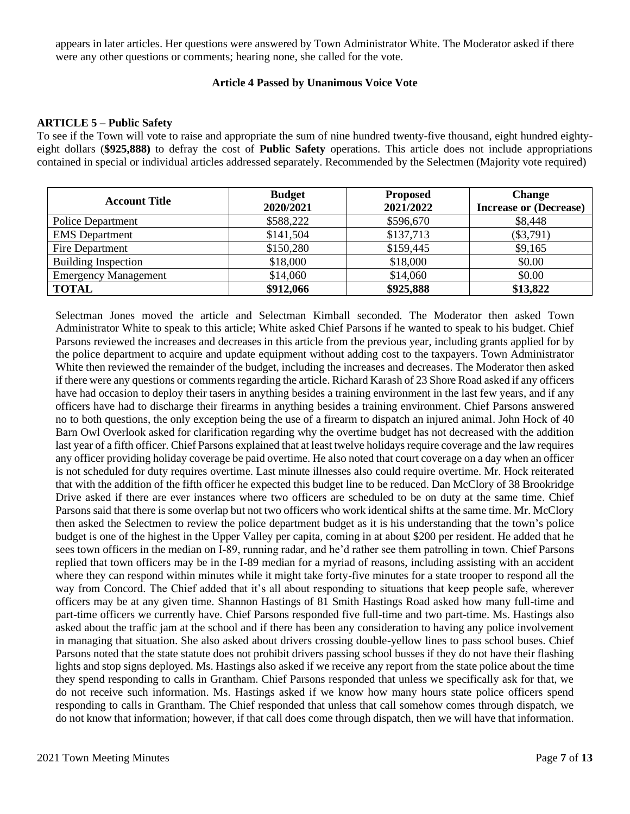appears in later articles. Her questions were answered by Town Administrator White. The Moderator asked if there were any other questions or comments; hearing none, she called for the vote.

#### **Article 4 Passed by Unanimous Voice Vote**

#### **ARTICLE 5 – Public Safety**

To see if the Town will vote to raise and appropriate the sum of nine hundred twenty-five thousand, eight hundred eightyeight dollars (**\$925,888)** to defray the cost of **Public Safety** operations. This article does not include appropriations contained in special or individual articles addressed separately. Recommended by the Selectmen (Majority vote required)

| <b>Account Title</b>        | <b>Budget</b><br>2020/2021 | <b>Proposed</b><br>2021/2022 | <b>Change</b><br><b>Increase or (Decrease)</b> |
|-----------------------------|----------------------------|------------------------------|------------------------------------------------|
| <b>Police Department</b>    | \$588,222                  | \$596,670                    | \$8,448                                        |
| <b>EMS</b> Department       | \$141,504                  | \$137,713                    | $(\$3,791)$                                    |
| Fire Department             | \$150,280                  | \$159,445                    | \$9,165                                        |
| <b>Building Inspection</b>  | \$18,000                   | \$18,000                     | \$0.00                                         |
| <b>Emergency Management</b> | \$14,060                   | \$14,060                     | \$0.00                                         |
| <b>TOTAL</b>                | \$912,066                  | \$925,888                    | \$13,822                                       |

Selectman Jones moved the article and Selectman Kimball seconded. The Moderator then asked Town Administrator White to speak to this article; White asked Chief Parsons if he wanted to speak to his budget. Chief Parsons reviewed the increases and decreases in this article from the previous year, including grants applied for by the police department to acquire and update equipment without adding cost to the taxpayers. Town Administrator White then reviewed the remainder of the budget, including the increases and decreases. The Moderator then asked if there were any questions or comments regarding the article. Richard Karash of 23 Shore Road asked if any officers have had occasion to deploy their tasers in anything besides a training environment in the last few years, and if any officers have had to discharge their firearms in anything besides a training environment. Chief Parsons answered no to both questions, the only exception being the use of a firearm to dispatch an injured animal. John Hock of 40 Barn Owl Overlook asked for clarification regarding why the overtime budget has not decreased with the addition last year of a fifth officer. Chief Parsons explained that at least twelve holidays require coverage and the law requires any officer providing holiday coverage be paid overtime. He also noted that court coverage on a day when an officer is not scheduled for duty requires overtime. Last minute illnesses also could require overtime. Mr. Hock reiterated that with the addition of the fifth officer he expected this budget line to be reduced. Dan McClory of 38 Brookridge Drive asked if there are ever instances where two officers are scheduled to be on duty at the same time. Chief Parsons said that there is some overlap but not two officers who work identical shifts at the same time. Mr. McClory then asked the Selectmen to review the police department budget as it is his understanding that the town's police budget is one of the highest in the Upper Valley per capita, coming in at about \$200 per resident. He added that he sees town officers in the median on I-89, running radar, and he'd rather see them patrolling in town. Chief Parsons replied that town officers may be in the I-89 median for a myriad of reasons, including assisting with an accident where they can respond within minutes while it might take forty-five minutes for a state trooper to respond all the way from Concord. The Chief added that it's all about responding to situations that keep people safe, wherever officers may be at any given time. Shannon Hastings of 81 Smith Hastings Road asked how many full-time and part-time officers we currently have. Chief Parsons responded five full-time and two part-time. Ms. Hastings also asked about the traffic jam at the school and if there has been any consideration to having any police involvement in managing that situation. She also asked about drivers crossing double-yellow lines to pass school buses. Chief Parsons noted that the state statute does not prohibit drivers passing school busses if they do not have their flashing lights and stop signs deployed. Ms. Hastings also asked if we receive any report from the state police about the time they spend responding to calls in Grantham. Chief Parsons responded that unless we specifically ask for that, we do not receive such information. Ms. Hastings asked if we know how many hours state police officers spend responding to calls in Grantham. The Chief responded that unless that call somehow comes through dispatch, we do not know that information; however, if that call does come through dispatch, then we will have that information.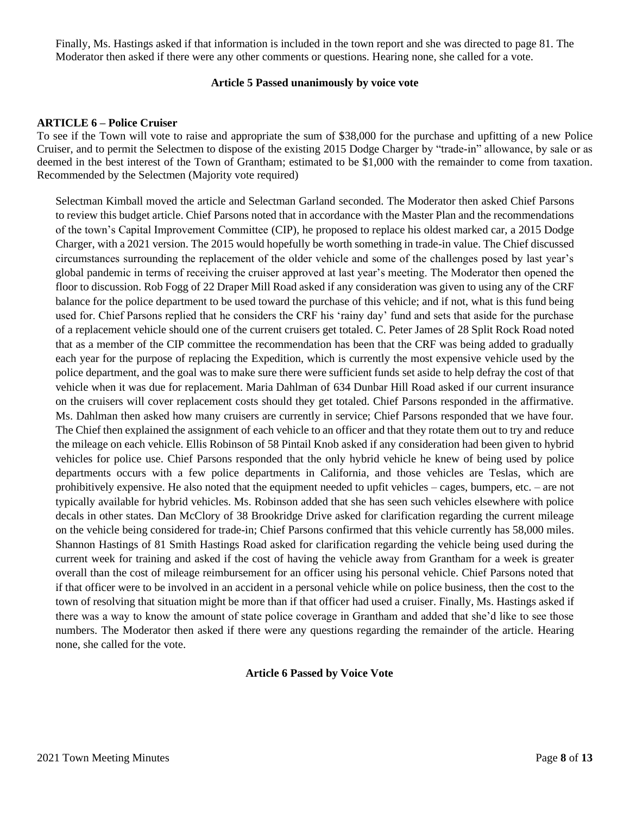Finally, Ms. Hastings asked if that information is included in the town report and she was directed to page 81. The Moderator then asked if there were any other comments or questions. Hearing none, she called for a vote.

#### **Article 5 Passed unanimously by voice vote**

#### **ARTICLE 6 – Police Cruiser**

To see if the Town will vote to raise and appropriate the sum of \$38,000 for the purchase and upfitting of a new Police Cruiser, and to permit the Selectmen to dispose of the existing 2015 Dodge Charger by "trade-in" allowance, by sale or as deemed in the best interest of the Town of Grantham; estimated to be \$1,000 with the remainder to come from taxation. Recommended by the Selectmen (Majority vote required)

Selectman Kimball moved the article and Selectman Garland seconded. The Moderator then asked Chief Parsons to review this budget article. Chief Parsons noted that in accordance with the Master Plan and the recommendations of the town's Capital Improvement Committee (CIP), he proposed to replace his oldest marked car, a 2015 Dodge Charger, with a 2021 version. The 2015 would hopefully be worth something in trade-in value. The Chief discussed circumstances surrounding the replacement of the older vehicle and some of the challenges posed by last year's global pandemic in terms of receiving the cruiser approved at last year's meeting. The Moderator then opened the floor to discussion. Rob Fogg of 22 Draper Mill Road asked if any consideration was given to using any of the CRF balance for the police department to be used toward the purchase of this vehicle; and if not, what is this fund being used for. Chief Parsons replied that he considers the CRF his 'rainy day' fund and sets that aside for the purchase of a replacement vehicle should one of the current cruisers get totaled. C. Peter James of 28 Split Rock Road noted that as a member of the CIP committee the recommendation has been that the CRF was being added to gradually each year for the purpose of replacing the Expedition, which is currently the most expensive vehicle used by the police department, and the goal was to make sure there were sufficient funds set aside to help defray the cost of that vehicle when it was due for replacement. Maria Dahlman of 634 Dunbar Hill Road asked if our current insurance on the cruisers will cover replacement costs should they get totaled. Chief Parsons responded in the affirmative. Ms. Dahlman then asked how many cruisers are currently in service; Chief Parsons responded that we have four. The Chief then explained the assignment of each vehicle to an officer and that they rotate them out to try and reduce the mileage on each vehicle. Ellis Robinson of 58 Pintail Knob asked if any consideration had been given to hybrid vehicles for police use. Chief Parsons responded that the only hybrid vehicle he knew of being used by police departments occurs with a few police departments in California, and those vehicles are Teslas, which are prohibitively expensive. He also noted that the equipment needed to upfit vehicles – cages, bumpers, etc. – are not typically available for hybrid vehicles. Ms. Robinson added that she has seen such vehicles elsewhere with police decals in other states. Dan McClory of 38 Brookridge Drive asked for clarification regarding the current mileage on the vehicle being considered for trade-in; Chief Parsons confirmed that this vehicle currently has 58,000 miles. Shannon Hastings of 81 Smith Hastings Road asked for clarification regarding the vehicle being used during the current week for training and asked if the cost of having the vehicle away from Grantham for a week is greater overall than the cost of mileage reimbursement for an officer using his personal vehicle. Chief Parsons noted that if that officer were to be involved in an accident in a personal vehicle while on police business, then the cost to the town of resolving that situation might be more than if that officer had used a cruiser. Finally, Ms. Hastings asked if there was a way to know the amount of state police coverage in Grantham and added that she'd like to see those numbers. The Moderator then asked if there were any questions regarding the remainder of the article. Hearing none, she called for the vote.

## **Article 6 Passed by Voice Vote**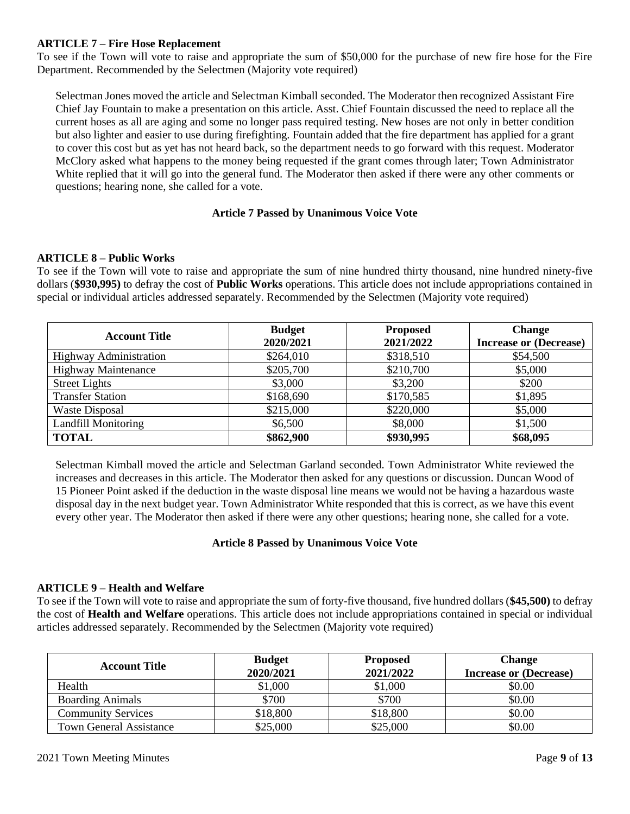## **ARTICLE 7 – Fire Hose Replacement**

To see if the Town will vote to raise and appropriate the sum of \$50,000 for the purchase of new fire hose for the Fire Department. Recommended by the Selectmen (Majority vote required)

Selectman Jones moved the article and Selectman Kimball seconded. The Moderator then recognized Assistant Fire Chief Jay Fountain to make a presentation on this article. Asst. Chief Fountain discussed the need to replace all the current hoses as all are aging and some no longer pass required testing. New hoses are not only in better condition but also lighter and easier to use during firefighting. Fountain added that the fire department has applied for a grant to cover this cost but as yet has not heard back, so the department needs to go forward with this request. Moderator McClory asked what happens to the money being requested if the grant comes through later; Town Administrator White replied that it will go into the general fund. The Moderator then asked if there were any other comments or questions; hearing none, she called for a vote.

#### **Article 7 Passed by Unanimous Voice Vote**

#### **ARTICLE 8 – Public Works**

To see if the Town will vote to raise and appropriate the sum of nine hundred thirty thousand, nine hundred ninety-five dollars (**\$930,995)** to defray the cost of **Public Works** operations. This article does not include appropriations contained in special or individual articles addressed separately. Recommended by the Selectmen (Majority vote required)

| <b>Account Title</b>          | <b>Budget</b> | <b>Proposed</b> | <b>Change</b>                 |
|-------------------------------|---------------|-----------------|-------------------------------|
|                               | 2020/2021     | 2021/2022       | <b>Increase or (Decrease)</b> |
| <b>Highway Administration</b> | \$264,010     | \$318,510       | \$54,500                      |
| <b>Highway Maintenance</b>    | \$205,700     | \$210,700       | \$5,000                       |
| <b>Street Lights</b>          | \$3,000       | \$3,200         | \$200                         |
| <b>Transfer Station</b>       | \$168,690     | \$170,585       | \$1,895                       |
| <b>Waste Disposal</b>         | \$215,000     | \$220,000       | \$5,000                       |
| <b>Landfill Monitoring</b>    | \$6,500       | \$8,000         | \$1,500                       |
| <b>TOTAL</b>                  | \$862,900     | \$930,995       | \$68,095                      |

Selectman Kimball moved the article and Selectman Garland seconded. Town Administrator White reviewed the increases and decreases in this article. The Moderator then asked for any questions or discussion. Duncan Wood of 15 Pioneer Point asked if the deduction in the waste disposal line means we would not be having a hazardous waste disposal day in the next budget year. Town Administrator White responded that this is correct, as we have this event every other year. The Moderator then asked if there were any other questions; hearing none, she called for a vote.

## **Article 8 Passed by Unanimous Voice Vote**

## **ARTICLE 9 – Health and Welfare**

To see if the Town will vote to raise and appropriate the sum of forty-five thousand, five hundred dollars (**\$45,500)** to defray the cost of **Health and Welfare** operations. This article does not include appropriations contained in special or individual articles addressed separately. Recommended by the Selectmen (Majority vote required)

| <b>Account Title</b>           | <b>Budget</b><br>2020/2021 | <b>Proposed</b><br>2021/2022 | <b>Change</b><br><b>Increase or (Decrease)</b> |
|--------------------------------|----------------------------|------------------------------|------------------------------------------------|
| Health                         | \$1,000                    | \$1,000                      | \$0.00                                         |
| <b>Boarding Animals</b>        | \$700                      | \$700                        | \$0.00                                         |
| <b>Community Services</b>      | \$18,800                   | \$18,800                     | \$0.00                                         |
| <b>Town General Assistance</b> | \$25,000                   | \$25,000                     | \$0.00                                         |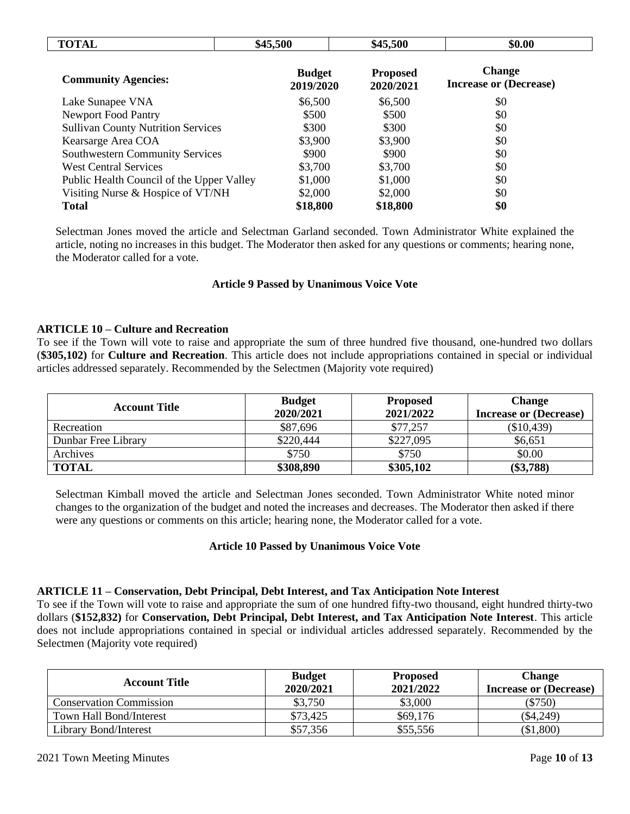| <b>TOTAL</b>                              | \$45,500                   | \$45,500                     | \$0.00                                         |  |
|-------------------------------------------|----------------------------|------------------------------|------------------------------------------------|--|
| <b>Community Agencies:</b>                | <b>Budget</b><br>2019/2020 | <b>Proposed</b><br>2020/2021 | <b>Change</b><br><b>Increase or (Decrease)</b> |  |
| Lake Sunapee VNA                          | \$6,500                    | \$6,500                      | \$0                                            |  |
| <b>Newport Food Pantry</b>                | \$500                      | \$500                        | \$0                                            |  |
| <b>Sullivan County Nutrition Services</b> | \$300                      | \$300                        | \$0                                            |  |
| Kearsarge Area COA                        | \$3,900                    | \$3,900                      | \$0                                            |  |
| <b>Southwestern Community Services</b>    | \$900                      | \$900                        | \$0                                            |  |
| <b>West Central Services</b>              | \$3,700                    | \$3,700                      | \$0                                            |  |
| Public Health Council of the Upper Valley | \$1,000                    | \$1,000                      | \$0                                            |  |
| Visiting Nurse & Hospice of VT/NH         | \$2,000                    | \$2,000                      | \$0                                            |  |
| <b>Total</b>                              | \$18,800                   | \$18,800                     | \$0                                            |  |

Selectman Jones moved the article and Selectman Garland seconded. Town Administrator White explained the article, noting no increases in this budget. The Moderator then asked for any questions or comments; hearing none, the Moderator called for a vote.

## **Article 9 Passed by Unanimous Voice Vote**

## **ARTICLE 10 – Culture and Recreation**

To see if the Town will vote to raise and appropriate the sum of three hundred five thousand, one-hundred two dollars (**\$305,102)** for **Culture and Recreation**. This article does not include appropriations contained in special or individual articles addressed separately. Recommended by the Selectmen (Majority vote required)

| <b>Account Title</b> | <b>Budget</b><br>2020/2021 | <b>Proposed</b><br>2021/2022 | <b>Change</b><br><b>Increase or (Decrease)</b> |
|----------------------|----------------------------|------------------------------|------------------------------------------------|
| Recreation           | \$87,696                   | \$77,257                     | $(\$10,439)$                                   |
| Dunbar Free Library  | \$220,444                  | \$227,095                    | \$6,651                                        |
| Archives             | \$750                      | \$750                        | \$0.00                                         |
| <b>TOTAL</b>         | \$308,890                  | \$305,102                    | $(\$3,788)$                                    |

Selectman Kimball moved the article and Selectman Jones seconded. Town Administrator White noted minor changes to the organization of the budget and noted the increases and decreases. The Moderator then asked if there were any questions or comments on this article; hearing none, the Moderator called for a vote.

## **Article 10 Passed by Unanimous Voice Vote**

#### **ARTICLE 11 – Conservation, Debt Principal, Debt Interest, and Tax Anticipation Note Interest**

To see if the Town will vote to raise and appropriate the sum of one hundred fifty-two thousand, eight hundred thirty-two dollars (**\$152,832)** for **Conservation, Debt Principal, Debt Interest, and Tax Anticipation Note Interest**. This article does not include appropriations contained in special or individual articles addressed separately. Recommended by the Selectmen (Majority vote required)

| <b>Account Title</b>           | <b>Budget</b><br>2020/2021 | <b>Proposed</b><br>2021/2022 | <b>Change</b><br><b>Increase or (Decrease)</b> |
|--------------------------------|----------------------------|------------------------------|------------------------------------------------|
| <b>Conservation Commission</b> | \$3,750                    | \$3,000                      | $(\$750)$                                      |
| Town Hall Bond/Interest        | \$73,425                   | \$69,176                     | \$4,249                                        |
| Library Bond/Interest          | \$57,356                   | \$55,556                     | \$1,800                                        |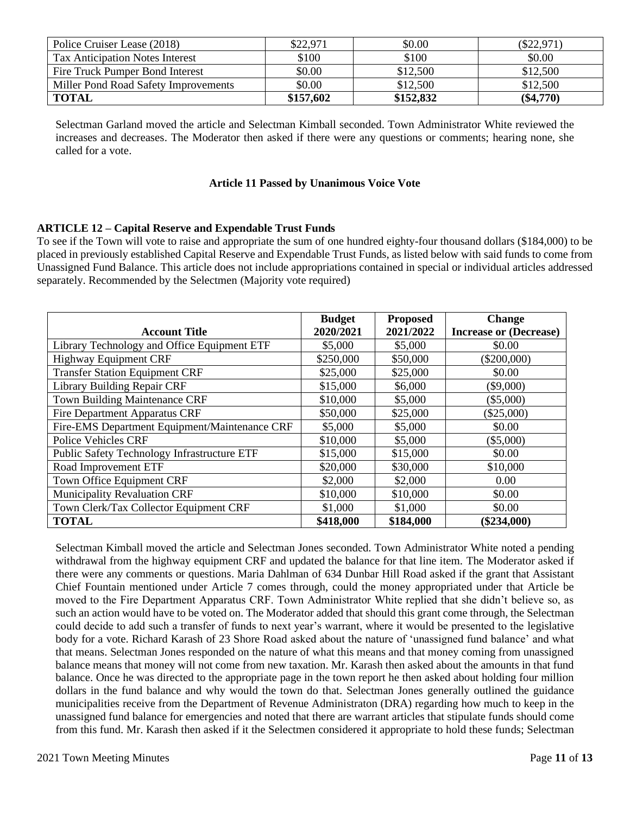| Police Cruiser Lease (2018)            | \$22,971  | \$0.00    | \$22,971    |
|----------------------------------------|-----------|-----------|-------------|
| <b>Tax Anticipation Notes Interest</b> | \$100     | \$100     | \$0.00      |
| Fire Truck Pumper Bond Interest        | \$0.00    | \$12,500  | \$12,500    |
| Miller Pond Road Safety Improvements   | \$0.00    | \$12,500  | \$12,500    |
| <b>TOTAL</b>                           | \$157,602 | \$152,832 | $(\$4,770)$ |

Selectman Garland moved the article and Selectman Kimball seconded. Town Administrator White reviewed the increases and decreases. The Moderator then asked if there were any questions or comments; hearing none, she called for a vote.

#### **Article 11 Passed by Unanimous Voice Vote**

## **ARTICLE 12 – Capital Reserve and Expendable Trust Funds**

To see if the Town will vote to raise and appropriate the sum of one hundred eighty-four thousand dollars (\$184,000) to be placed in previously established Capital Reserve and Expendable Trust Funds, as listed below with said funds to come from Unassigned Fund Balance. This article does not include appropriations contained in special or individual articles addressed separately. Recommended by the Selectmen (Majority vote required)

|                                                    | <b>Budget</b> | <b>Proposed</b> | <b>Change</b>                 |
|----------------------------------------------------|---------------|-----------------|-------------------------------|
| <b>Account Title</b>                               | 2020/2021     | 2021/2022       | <b>Increase or (Decrease)</b> |
| Library Technology and Office Equipment ETF        | \$5,000       | \$5,000         | \$0.00                        |
| <b>Highway Equipment CRF</b>                       | \$250,000     | \$50,000        | $(\$200,000)$                 |
| <b>Transfer Station Equipment CRF</b>              | \$25,000      | \$25,000        | \$0.00                        |
| Library Building Repair CRF                        | \$15,000      | \$6,000         | $(\$9,000)$                   |
| <b>Town Building Maintenance CRF</b>               | \$10,000      | \$5,000         | $(\$5,000)$                   |
| <b>Fire Department Apparatus CRF</b>               | \$50,000      | \$25,000        | $(\$25,000)$                  |
| Fire-EMS Department Equipment/Maintenance CRF      | \$5,000       | \$5,000         | \$0.00                        |
| <b>Police Vehicles CRF</b>                         | \$10,000      | \$5,000         | $(\$5,000)$                   |
| <b>Public Safety Technology Infrastructure ETF</b> | \$15,000      | \$15,000        | \$0.00                        |
| Road Improvement ETF                               | \$20,000      | \$30,000        | \$10,000                      |
| Town Office Equipment CRF                          | \$2,000       | \$2,000         | 0.00                          |
| <b>Municipality Revaluation CRF</b>                | \$10,000      | \$10,000        | \$0.00                        |
| Town Clerk/Tax Collector Equipment CRF             | \$1,000       | \$1,000         | \$0.00                        |
| <b>TOTAL</b>                                       | \$418,000     | \$184,000       | $(\$234,000)$                 |

Selectman Kimball moved the article and Selectman Jones seconded. Town Administrator White noted a pending withdrawal from the highway equipment CRF and updated the balance for that line item. The Moderator asked if there were any comments or questions. Maria Dahlman of 634 Dunbar Hill Road asked if the grant that Assistant Chief Fountain mentioned under Article 7 comes through, could the money appropriated under that Article be moved to the Fire Department Apparatus CRF. Town Administrator White replied that she didn't believe so, as such an action would have to be voted on. The Moderator added that should this grant come through, the Selectman could decide to add such a transfer of funds to next year's warrant, where it would be presented to the legislative body for a vote. Richard Karash of 23 Shore Road asked about the nature of 'unassigned fund balance' and what that means. Selectman Jones responded on the nature of what this means and that money coming from unassigned balance means that money will not come from new taxation. Mr. Karash then asked about the amounts in that fund balance. Once he was directed to the appropriate page in the town report he then asked about holding four million dollars in the fund balance and why would the town do that. Selectman Jones generally outlined the guidance municipalities receive from the Department of Revenue Administraton (DRA) regarding how much to keep in the unassigned fund balance for emergencies and noted that there are warrant articles that stipulate funds should come from this fund. Mr. Karash then asked if it the Selectmen considered it appropriate to hold these funds; Selectman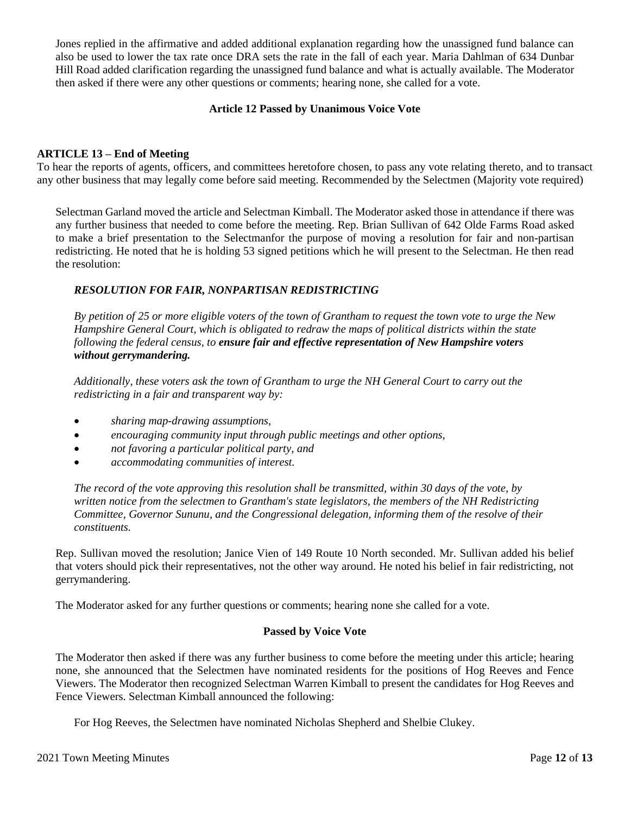Jones replied in the affirmative and added additional explanation regarding how the unassigned fund balance can also be used to lower the tax rate once DRA sets the rate in the fall of each year. Maria Dahlman of 634 Dunbar Hill Road added clarification regarding the unassigned fund balance and what is actually available. The Moderator then asked if there were any other questions or comments; hearing none, she called for a vote.

#### **Article 12 Passed by Unanimous Voice Vote**

#### **ARTICLE 13 – End of Meeting**

To hear the reports of agents, officers, and committees heretofore chosen, to pass any vote relating thereto, and to transact any other business that may legally come before said meeting. Recommended by the Selectmen (Majority vote required)

Selectman Garland moved the article and Selectman Kimball. The Moderator asked those in attendance if there was any further business that needed to come before the meeting. Rep. Brian Sullivan of 642 Olde Farms Road asked to make a brief presentation to the Selectmanfor the purpose of moving a resolution for fair and non-partisan redistricting. He noted that he is holding 53 signed petitions which he will present to the Selectman. He then read the resolution:

## *RESOLUTION FOR FAIR, NONPARTISAN REDISTRICTING*

*By petition of 25 or more eligible voters of the town of Grantham to request the town vote to urge the New Hampshire General Court, which is obligated to redraw the maps of political districts within the state following the federal census, to ensure fair and effective representation of New Hampshire voters without gerrymandering.*

*Additionally, these voters ask the town of Grantham to urge the NH General Court to carry out the redistricting in a fair and transparent way by:*

- *sharing map-drawing assumptions,*
- *encouraging community input through public meetings and other options,*
- *not favoring a particular political party, and*
- *accommodating communities of interest.*

*The record of the vote approving this resolution shall be transmitted, within 30 days of the vote, by written notice from the selectmen to Grantham's state legislators, the members of the NH Redistricting Committee, Governor Sununu, and the Congressional delegation, informing them of the resolve of their constituents.*

Rep. Sullivan moved the resolution; Janice Vien of 149 Route 10 North seconded. Mr. Sullivan added his belief that voters should pick their representatives, not the other way around. He noted his belief in fair redistricting, not gerrymandering.

The Moderator asked for any further questions or comments; hearing none she called for a vote.

#### **Passed by Voice Vote**

The Moderator then asked if there was any further business to come before the meeting under this article; hearing none, she announced that the Selectmen have nominated residents for the positions of Hog Reeves and Fence Viewers. The Moderator then recognized Selectman Warren Kimball to present the candidates for Hog Reeves and Fence Viewers. Selectman Kimball announced the following:

For Hog Reeves, the Selectmen have nominated Nicholas Shepherd and Shelbie Clukey.